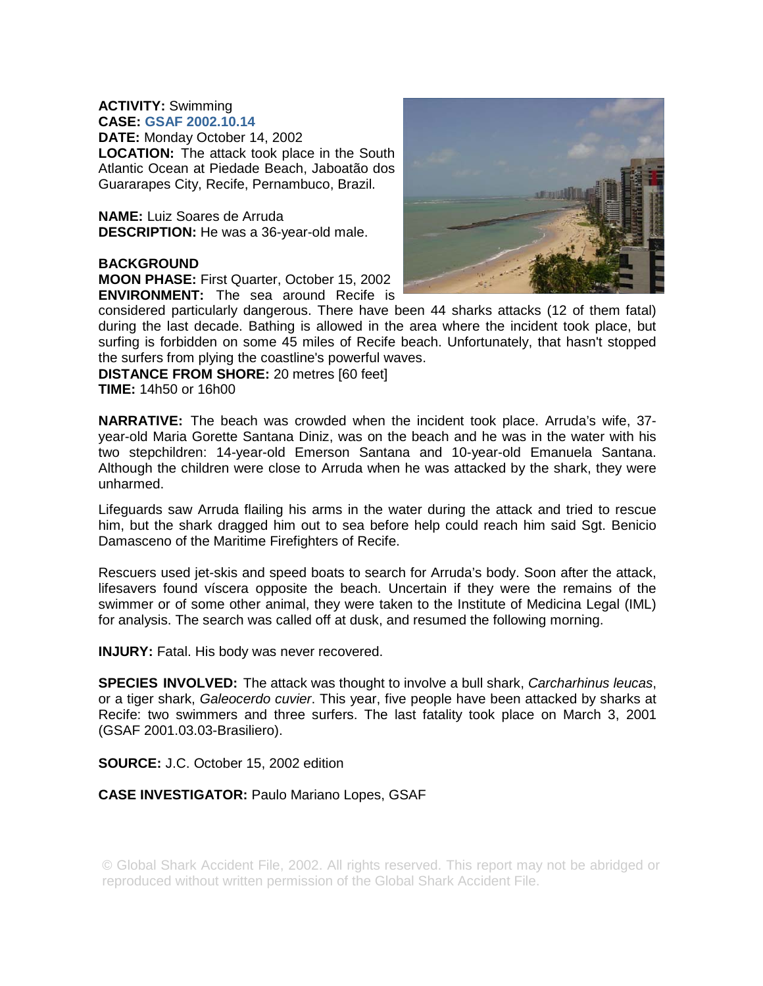# **ACTIVITY:** Swimming **CASE: GSAF 2002.10.14**

**DATE:** Monday October 14, 2002 **LOCATION:** The attack took place in the South Atlantic Ocean at Piedade Beach, Jaboatão dos Guararapes City, Recife, Pernambuco, Brazil.

**NAME:** Luiz Soares de Arruda **DESCRIPTION:** He was a 36-year-old male.

### **BACKGROUND**

**MOON PHASE:** First Quarter, October 15, 2002 **ENVIRONMENT:** The sea around Recife is



considered particularly dangerous. There have been 44 sharks attacks (12 of them fatal) during the last decade. Bathing is allowed in the area where the incident took place, but surfing is forbidden on some 45 miles of Recife beach. Unfortunately, that hasn't stopped the surfers from plying the coastline's powerful waves.

**DISTANCE FROM SHORE:** 20 metres [60 feet] **TIME:** 14h50 or 16h00

**NARRATIVE:** The beach was crowded when the incident took place. Arruda's wife, 37 year-old Maria Gorette Santana Diniz, was on the beach and he was in the water with his two stepchildren: 14-year-old Emerson Santana and 10-year-old Emanuela Santana. Although the children were close to Arruda when he was attacked by the shark, they were unharmed.

Lifeguards saw Arruda flailing his arms in the water during the attack and tried to rescue him, but the shark dragged him out to sea before help could reach him said Sgt. Benicio Damasceno of the Maritime Firefighters of Recife.

Rescuers used jet-skis and speed boats to search for Arruda's body. Soon after the attack, lifesavers found víscera opposite the beach. Uncertain if they were the remains of the swimmer or of some other animal, they were taken to the Institute of Medicina Legal (IML) for analysis. The search was called off at dusk, and resumed the following morning.

**INJURY:** Fatal. His body was never recovered.

**SPECIES INVOLVED:** The attack was thought to involve a bull shark, *Carcharhinus leucas*, or a tiger shark, *Galeocerdo cuvier*. This year, five people have been attacked by sharks at Recife: two swimmers and three surfers. The last fatality took place on March 3, 2001 (GSAF 2001.03.03-Brasiliero).

**SOURCE:** J.C. October 15, 2002 edition

# **CASE INVESTIGATOR:** Paulo Mariano Lopes, GSAF

© Global Shark Accident File, 2002. All rights reserved. This report may not be abridged or reproduced without written permission of the Global Shark Accident File.